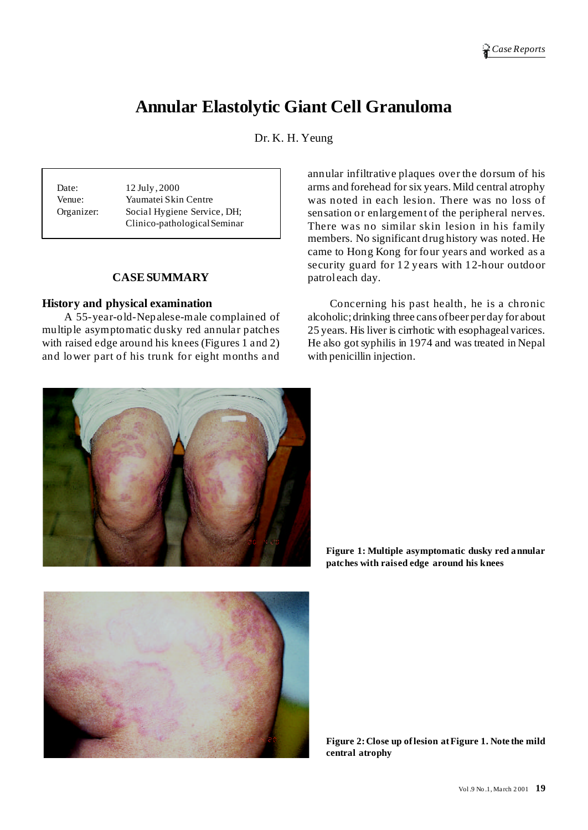# **Annular Elastolytic Giant Cell Granuloma**

Dr. K. H. Yeung

Date: 12 July, 2000 Venue: Yaumatei Skin Centre Organizer: Social Hygiene Service, DH; Clinico-pathologicalSeminar

## **CASESUMMARY**

#### **History and physical examination**

A 55-year-old-Nepalese-male complained of multiple asymptomatic dusky red annular patches with raised edge around his knees (Figures 1 and 2) and lower part of his trunk for eight months and

annular infiltrative plaques over the dorsum of his arms and forehead for six years. Mild central atrophy was noted in each lesion. There was no loss of sensation or enlargement of the peripheral nerves. There was no similar skin lesion in his family members. No significant drug history was noted. He came to Hong Kong for four years and worked as a security guard for 12 years with 12-hour outdoor patrol each day.

Concerning his past health, he is a chronic alcoholic;drinking three cans ofbeer per day for about 25 years. His liver is cirrhotic with esophageal varices. He also got syphilis in 1974 and was treated in Nepal with penicillin injection.



**Figure 1: Multiple asymptomatic dusky red annular patches with raised edge around his knees**



**Figure 2:Close up oflesion atFigure 1. Note the mild central atrophy**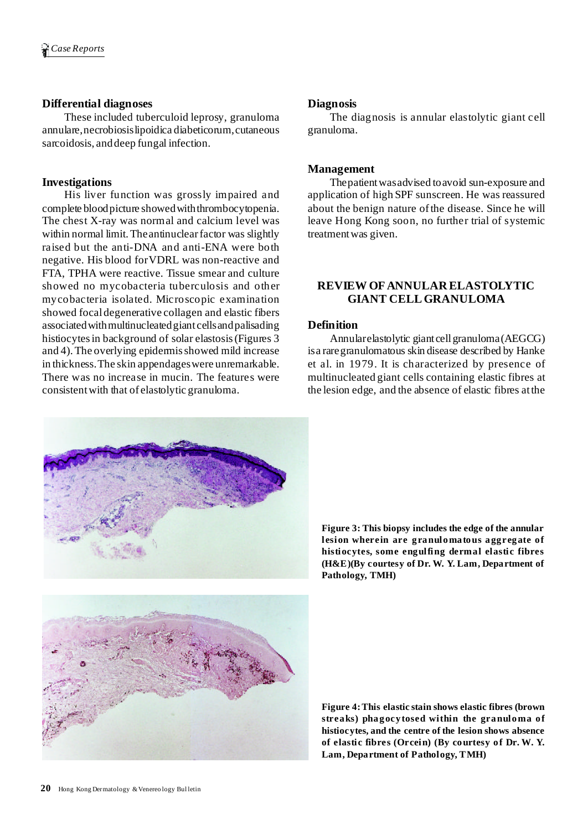# **Differential diagnoses**

These included tuberculoid leprosy, granuloma annulare,necrobiosislipoidica diabeticorum,cutaneous sarcoidosis, anddeep fungal infection.

# **Investigations**

His liver function was grossly impaired and complete bloodpicture showedwiththrombocytopenia. The chest X-ray was normal and calcium level was within normal limit. The antinuclear factor was slightly raised but the anti-DNA and anti-ENA were both negative. His blood forVDRL was non-reactive and FTA, TPHA were reactive. Tissue smear and culture showed no mycobacteria tuberculosis and other mycobacteria isolated. Microscopic examination showed focaldegenerative collagen and elastic fibers associated with multinucleated giant cells and palisading histiocytesin background of solar elastosis(Figures 3 and 4).The overlying epidermisshowed mild increase in thickness.The skin appendageswere unremarkable. There was no increase in mucin. The features were consistentwith that of elastolytic granuloma.

## **Diagnosis**

The diagnosis is annular elastolytic giant cell granuloma.

## **Management**

Thepatientwasadvised toavoid sun-exposure and application of high SPF sunscreen. He was reassured about the benign nature ofthe disease. Since he will leave Hong Kong soon, no further trial of systemic treatmentwas given.

# **REVIEW OFANNULAR ELASTOLYTIC GIANT CELLGRANULOMA**

## **Definition**

Annularelastolytic giant cellgranuloma(AEGCG) isa raregranulomatous skin disease described by Hanke et al. in 1979. It is characterized by presence of multinucleated giant cells containing elastic fibres at the lesion edge, and the absence of elastic fibres atthe



**Figure 3: This biopsy includes the edge of the annular lesion wherein are granulomatous aggregate of histiocytes, some engulfing dermal elastic fibres (H&E)(By courtesy of Dr. W. Y. Lam, Department of Pathology, TMH)**

**Figure 4:This elastic stain shows elastic fibres (brown streaks) phagocytosed within the granuloma of histiocytes, and the centre of the lesion shows absence of elastic fibres (Orcein) (By courtesy of Dr. W. Y. Lam, Department of Pathology, TMH)**